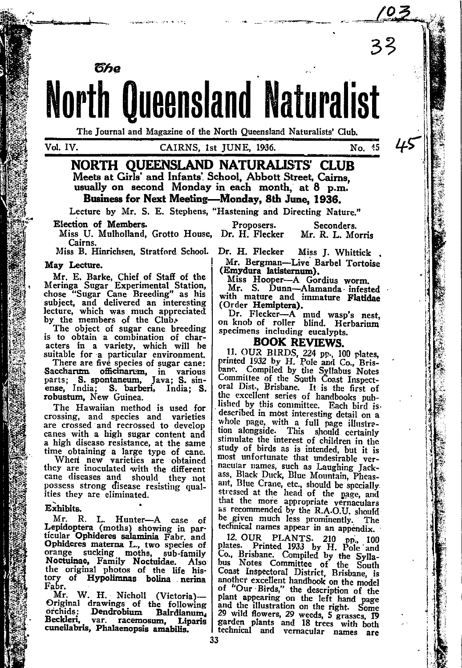

The Journal and Magazine of the North Queensland Naturalists' Club.

Vol. IV.

# CAIRNS, 1st JUNE, 1936.

NORTH OUEENSLAND NATURALISTS' CLUB Meets at Girls' and Infants' School, Abbott Street, Cairns. usually on second Monday in each month, at 8 p.m. Business for Next Meeting-Monday, 8th June, 1936.

Lecture by Mr. S. E. Stephens, "Hastening and Directing Nature."

Proposers.

Election of Members.

წჩი

Miss U. Mulholland, Grotto House, Dr. H. Flecker Cairns.

Miss B. Hinrichsen. Stratford School.

#### May Lecture.

Mr. E. Barke, Chief of Staff of the<br>Meringa Sugar Experimental Station,<br>chose "Sugar Cane Breeding" as his<br>subject, and delivered an interesting lecture, which was much appreciated<br>by the members of the Club.<br>The object of sugar cane breeding

is to obtain a combination of characters in a variety, which will be suitable for a particular environment.

There are five species of sugar cane: Saccharim officinarum, in various<br>parts; S. spontaneum, Java; S. sinense, India; S. barberi, India; S. robustum, New Guinea.

The Hawaiian method is used for crossing, and species and varieties are crossed and recrossed to develop canes with a high sugar content and a high disease resistance, at the same time obtaining a large type of cane.

When new varieties are obtained<br>they are inoculated with the different cane diseases and should they not possess strong disease resisting qualities they are eliminated.

#### Exhibits.

Mr. R. L. Hunter-A case of Lepidoptera (moths) showing in particular Ophideres salaminia Fabr. and Ophideres materna L., two species of orange sucking moths, sub-family<br>Noctuinae, Family Noctuidae. Also<br>the original photos of the life his-Also tory of Hypolimnas bolina nerina Fabr.

Mr. W. H. Nicholl (Victoria)-Original drawings of the following orchids: Dendrobium Bairdianum, Beckleri. var. racemosum. Liparis cuneilabris, Phalaenopsis amabilis.

Dr. H. Flecker Miss J. Whittick Mr. Bergman-Live Barbel Tortoise (Emydura latisternum).

Seconders.

Mr. R. L. Morris

No. 45

Miss Hooper-A Gordius worm.

Mr. S. Dunn-Alamanda infested with mature and immature Flatidae (Order Hemiptera).

Dr. Flecker-A mud wasp's nest, on knob of roller blind. Herbarium specimens including eucalypts.

# **BOOK REVIEWS.**

11. OUR BIRDS, 224 pp., 100 plates, printed 1932 by H. Pole and Co., Brisbane. Compiled by the Syllabus Notes oral Dist., Brisbane. It is the first of the excellent series of handbooks published by this committee. Each bird isdescribed in most interesting detail on a whole page, with a full page illustration alongside. This should certainly stimulate the interest of children in the study of birds as is intended, but it is most unfortunate that undesirable vernacular names, such as Laughing Jack-<br>ass, Black Duck, Blue Mountain, Pheasant, Blue Crane, etc., should be specially stressed at the head of the page, and that the more appropriate vernaculars as recommended by the R.A.O.U. should be given much less prominently. The technical names appear in an appendix.

12. OUR PLANTS. 210 pp., 100<br>plates. Printed 1933 by H. Pole and<br>Co., Brisbane. Compiled by the Syllabus Notes Committee of the South Coast Inspectoral District, Brisbane, is another excellent handbook on the model of "Our Birds," the description of the plant appearing on the left hand page and the illustration on the right. Some<br>29 wild flowers, 29 weeds, 5 grasses, IP<br>garden plants and 18 trees with both technical and vernacular names are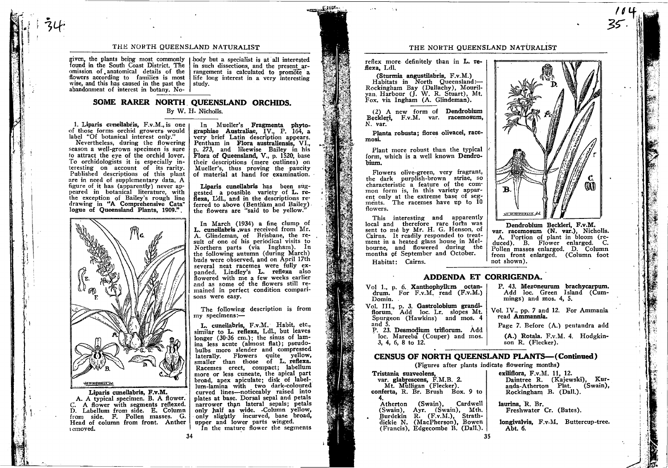#### THE NORTH. QUEENSLAND NATURALIST

found in the South Coast District. The omission of anatomical details of the flowers according to families is most wise, and this has caused in the past the abandonment of interest in botany. No-

 $i$  i  $\frac{1}{2}$ 

given, the plants being most commonly | body but a specialist is at all interested in such dissections, and the present arrangement is calculated to promote a life long interest in a very interesting study.

ffeatil.

graphiae Australiae, lV., <sup>P</sup> aphiae Australiae, IV., P. 164, <sup>a</sup> very brief Latin description appears.

Pentham in Flora australiensis, VI., p. 273, and likewise Bailey in his Flora of Oueensland, V., p. 1520, base their descriptions (mere outlines) on Mueller's, thus proving the paucity of material at hand for examination. Liparis cuneilabris has been suggested a possible variety of L. reflexa, Ldl., and in the descriptions referred to above (Bentham and Bailey). the flowers are "said to be yellow." In March  $(1934)$  a fine clump of  $L.$  cuneilabris .was received from  $Mr.$ A. Glindeman, of Brisbane, the re.- sult of one of his pericidical visits to Northern parts (via Ingham). In buds were observed, and on April 17th the following autumn (during March)

In Mueller's Fragmenta phyto-

several neat racemes were fully

sons were easy.

niv specimens:-

panded. Lindley's L. reflexa also howered with nre a few weeks earlier and as sorne of the flowers still remained in perfect condition compari-

The following description is from

L. cuneilabris. F.v.M. Habit, etc., similar to L. refexa, Ldl., but leaves longer (30'36 cm.); the sinus of lamina less acute (almost flat); pseudobulbs more slender and compressed buns more siender and compressed<br>laterally. Flowers quite yellow,<br>smaller than those of L. reflexa. Racemes erect, compact; labellum more or less cuneate, the apical part broad, apex apiculate; disk of labellum-lamina with two dark-coloured curved lines-noticeably raised into plates at base. Dorsal sepal and petals narrower than lateral sepals; petals onlv half as wide. .Column Yellow, only slightly incurved, base broad, upper and lower parts winged.<br>In the mature flower the segments

### SOME RARER NORTH QUEENSLAND ORCHIDS. By W. H. Nicholls.

1. Liparis cuneilabris, F.v.M., is one of those forms orchid growers would label "Of botanical interest only."

Nevertheless, during the flowering season a well-grown specimen is sure to attract the eye of the orchid lover. To orchidologists it is especially interesting on account of its rarity. Published descriptions of this plant are in need of supplementary data. A figure of it has (apparently) never appeared in botanical literature, with the exception of Bailey's rough line drawing in "A Compreheneive Catalogue of Queensland Plants, 1909.".



Liparis cuneilabris, F.v.M.<br>A. A typical specimen. B. A flower. C. A flower with segments reflexed.<br>D. Labellum from side. E. Column<br>from side. F. Pollen masses. G. Head of column from front. Anther <sup>r</sup>cmoved.

 $34$  34

### THE NORTH QUEENSLAND NATURALIST

reflex more definitely than in L. reflexa, Ldl.

(Sturmia angustilabris, F.v.M.) Habitats in North Queensland:-Rockingharn Bay (Dallachy), Mouril-yan. Harbour (J. W. R. Stuart), Mt. Fox. via Ingham (A. Glindeman).

(2) A new form of Dendrobium Beckleri, F.v.M. var. racemosum. N. var.

Planta robusta; flores olivacei, racemosL

Plant more robust than the typical form, which is a well known Dendrobium.

Flowers olive-green, very fragrant, the dark purplish-brown striae, so characteristic a feature of the common form is, in this variety apparent only at the extreme base of seg-<br>ments. The racemes have up to 10 flowers.

This interesting and apparently local and therefore rare form was sent to me by Mr. H. G. Henson, of Cairns. It readily responded to treatment in a heated glass house in Melbourne. and flowered during the months of September and October. Habitat: Cairns.



"<br>كى

I o 1'',,'

Dendrobium Beckleri, F.v.M. var. racemosum (N. var.), Nicholls. A. Portion of plant in bloom (reduced). B. Flower enlarged. C. Pollen masses enlarged. D. Column from front enlarged, (Column foot not shown).

P. 43, Mezoneurum brachycarpum. Add loc. Green Island (Cum-

Vot. IV., pp.? and 12, For Ammania

Page 7. Before (A.) pentandra add (A.) Rotala. F.v.M. 4. Hodgkin-

mings) and mos.  $4, 5$ .

read Ammannia.

son R. (Flecker).

# ADDENDA ET CORRIGENDA.

Vol 1., p. 6. Xanthophyllum octandrum. For  $F.v.M.$  read  $(F.v.M.)$ Domin. Vol. III., p. 3. Gastrolobium grandi-<br>florum. Add loc. Lr. slopes Mt.

Spurgeon (Hawkins) and mos. 4 and 5. P. 23. Desmodium triflorum. Add loc. Mareeba (Couper) and mos.

3, 4, 6,8 to 12.

### CENSUS OF NORTH QUEENSLAND PLANTS-(Continued)

(Figures after plants indicate flowering months)

var. glabrescens, F.M.B. 2.<br>Mt. Mulligan (Flecker). conferta, R. Br. Brush Box. 9 to

4.<br>Atherton (Swain), Cardwell<br>(Swain), Ayr. (Swain), Mth. . Burdekin R. (F.v.M.), Strath-<br>dickie N. (MacPherson), Bowen  $(Francis)$ , Edgecombe B. (Dall.). exiliflora, F.v.M. ll, 12. Daintree R. (Kajewski), Kuranda-Atherton Plat. Rockingham B. (Dall.).

taurina, R. Br. Freshwater Cr. (Bates).

longivalvis, F.v.M. Buttercup-tree. Abt. 6.